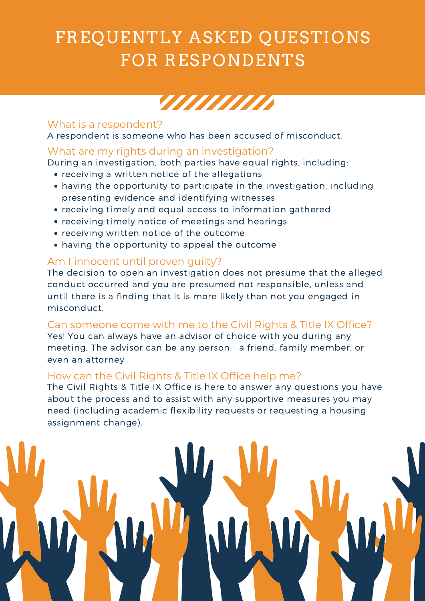# FREQUENTLY ASKED QUESTIONS FOR RESPONDENTS



### What are my rights during an investigation?

- receiving a written notice of the allegations
- having the opportunity to participate in the investigation, including presenting evidence and identifying witnesses
- receiving timely and equal access to information gathered
- receiving timely notice of meetings and hearings
- receiving written notice of the outcome
- having the opportunity to appeal the outcome

During an investigation, both parties have equal rights, including:

### What is a respondent?

A respondent is someone who has been accused of misconduct.

Can someone come with me to the Civil Rights & Title IX Office? Yes! You can always have an advisor of choice with you during any meeting. The advisor can be any person - a friend, family member, or even an attorney.

## Am I innocent until proven guilty?

The decision to open an investigation does not presume that the alleged conduct occurred and you are presumed not responsible, unless and until there is a finding that it is more likely than not you engaged in misconduct.

### How can the Civil Rights & Title IX Office help me?

The Civil Rights & Title IX Office is here to answer any questions you have about the process and to assist with any supportive measures you may need (including academic flexibility requests or requesting a housing assignment change).